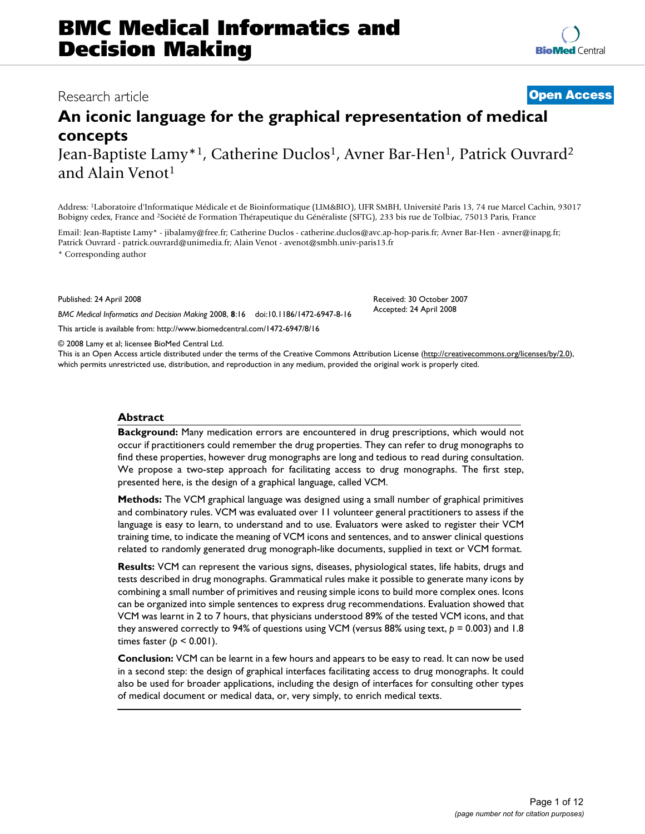# **BMC Medical Informatics and Decision Making**

# Research article **[Open Access](http://www.biomedcentral.com/info/about/charter/)**

# **An iconic language for the graphical representation of medical concepts**

Jean-Baptiste Lamy<sup>\*1</sup>, Catherine Duclos<sup>1</sup>, Avner Bar-Hen<sup>1</sup>, Patrick Ouvrard<sup>2</sup> and Alain Venot1

Address: 1Laboratoire d'Informatique Médicale et de Bioinformatique (LIM&BIO), UFR SMBH, Université Paris 13, 74 rue Marcel Cachin, 93017 Bobigny cedex, France and 2Société de Formation Thérapeutique du Généraliste (SFTG), 233 bis rue de Tolbiac, 75013 Paris, France

Email: Jean-Baptiste Lamy\* - jibalamy@free.fr; Catherine Duclos - catherine.duclos@avc.ap-hop-paris.fr; Avner Bar-Hen - avner@inapg.fr; Patrick Ouvrard - patrick.ouvrard@unimedia.fr; Alain Venot - avenot@smbh.univ-paris13.fr

\* Corresponding author

Published: 24 April 2008

*BMC Medical Informatics and Decision Making* 2008, **8**:16 doi:10.1186/1472-6947-8-16

[This article is available from: http://www.biomedcentral.com/1472-6947/8/16](http://www.biomedcentral.com/1472-6947/8/16)

© 2008 Lamy et al; licensee BioMed Central Ltd.

This is an Open Access article distributed under the terms of the Creative Commons Attribution License [\(http://creativecommons.org/licenses/by/2.0\)](http://creativecommons.org/licenses/by/2.0), which permits unrestricted use, distribution, and reproduction in any medium, provided the original work is properly cited.

## **Abstract**

**Background:** Many medication errors are encountered in drug prescriptions, which would not occur if practitioners could remember the drug properties. They can refer to drug monographs to find these properties, however drug monographs are long and tedious to read during consultation. We propose a two-step approach for facilitating access to drug monographs. The first step, presented here, is the design of a graphical language, called VCM.

**Methods:** The VCM graphical language was designed using a small number of graphical primitives and combinatory rules. VCM was evaluated over 11 volunteer general practitioners to assess if the language is easy to learn, to understand and to use. Evaluators were asked to register their VCM training time, to indicate the meaning of VCM icons and sentences, and to answer clinical questions related to randomly generated drug monograph-like documents, supplied in text or VCM format.

**Results:** VCM can represent the various signs, diseases, physiological states, life habits, drugs and tests described in drug monographs. Grammatical rules make it possible to generate many icons by combining a small number of primitives and reusing simple icons to build more complex ones. Icons can be organized into simple sentences to express drug recommendations. Evaluation showed that VCM was learnt in 2 to 7 hours, that physicians understood 89% of the tested VCM icons, and that they answered correctly to 94% of questions using VCM (versus 88% using text, *p* = 0.003) and 1.8 times faster (*p* < 0.001).

**Conclusion:** VCM can be learnt in a few hours and appears to be easy to read. It can now be used in a second step: the design of graphical interfaces facilitating access to drug monographs. It could also be used for broader applications, including the design of interfaces for consulting other types of medical document or medical data, or, very simply, to enrich medical texts.



Received: 30 October 2007

Accepted: 24 April 2008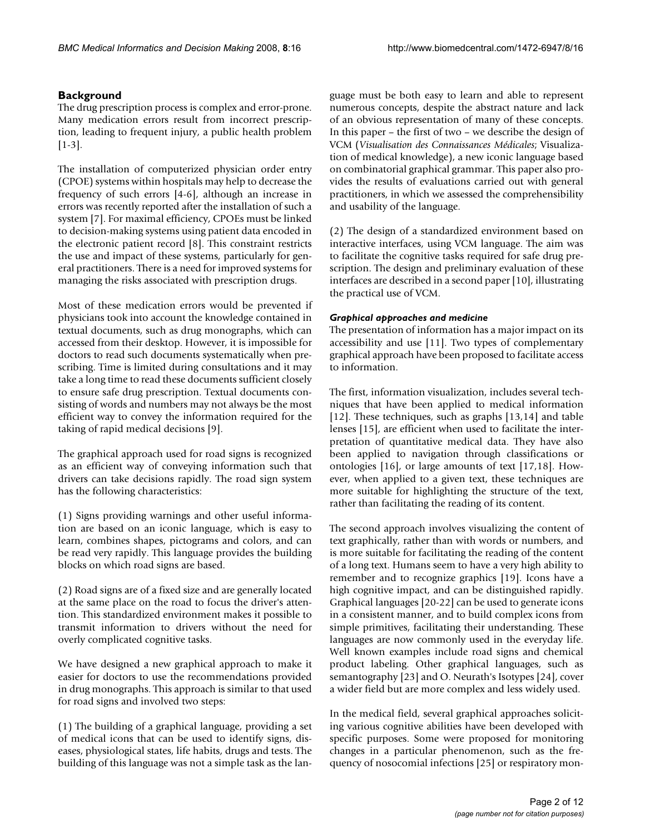## **Background**

The drug prescription process is complex and error-prone. Many medication errors result from incorrect prescription, leading to frequent injury, a public health problem [1-3].

The installation of computerized physician order entry (CPOE) systems within hospitals may help to decrease the frequency of such errors [4-6], although an increase in errors was recently reported after the installation of such a system [7]. For maximal efficiency, CPOEs must be linked to decision-making systems using patient data encoded in the electronic patient record [8]. This constraint restricts the use and impact of these systems, particularly for general practitioners. There is a need for improved systems for managing the risks associated with prescription drugs.

Most of these medication errors would be prevented if physicians took into account the knowledge contained in textual documents, such as drug monographs, which can accessed from their desktop. However, it is impossible for doctors to read such documents systematically when prescribing. Time is limited during consultations and it may take a long time to read these documents sufficient closely to ensure safe drug prescription. Textual documents consisting of words and numbers may not always be the most efficient way to convey the information required for the taking of rapid medical decisions [9].

The graphical approach used for road signs is recognized as an efficient way of conveying information such that drivers can take decisions rapidly. The road sign system has the following characteristics:

(1) Signs providing warnings and other useful information are based on an iconic language, which is easy to learn, combines shapes, pictograms and colors, and can be read very rapidly. This language provides the building blocks on which road signs are based.

(2) Road signs are of a fixed size and are generally located at the same place on the road to focus the driver's attention. This standardized environment makes it possible to transmit information to drivers without the need for overly complicated cognitive tasks.

We have designed a new graphical approach to make it easier for doctors to use the recommendations provided in drug monographs. This approach is similar to that used for road signs and involved two steps:

(1) The building of a graphical language, providing a set of medical icons that can be used to identify signs, diseases, physiological states, life habits, drugs and tests. The building of this language was not a simple task as the language must be both easy to learn and able to represent numerous concepts, despite the abstract nature and lack of an obvious representation of many of these concepts. In this paper – the first of two – we describe the design of VCM (*Visualisation des Connaissances Médicales*; Visualization of medical knowledge), a new iconic language based on combinatorial graphical grammar. This paper also provides the results of evaluations carried out with general practitioners, in which we assessed the comprehensibility and usability of the language.

(2) The design of a standardized environment based on interactive interfaces, using VCM language. The aim was to facilitate the cognitive tasks required for safe drug prescription. The design and preliminary evaluation of these interfaces are described in a second paper [10], illustrating the practical use of VCM.

## *Graphical approaches and medicine*

The presentation of information has a major impact on its accessibility and use [11]. Two types of complementary graphical approach have been proposed to facilitate access to information.

The first, information visualization, includes several techniques that have been applied to medical information [12]. These techniques, such as graphs [13,14] and table lenses [15], are efficient when used to facilitate the interpretation of quantitative medical data. They have also been applied to navigation through classifications or ontologies [16], or large amounts of text [17,18]. However, when applied to a given text, these techniques are more suitable for highlighting the structure of the text, rather than facilitating the reading of its content.

The second approach involves visualizing the content of text graphically, rather than with words or numbers, and is more suitable for facilitating the reading of the content of a long text. Humans seem to have a very high ability to remember and to recognize graphics [19]. Icons have a high cognitive impact, and can be distinguished rapidly. Graphical languages [20-22] can be used to generate icons in a consistent manner, and to build complex icons from simple primitives, facilitating their understanding. These languages are now commonly used in the everyday life. Well known examples include road signs and chemical product labeling. Other graphical languages, such as semantography [23] and O. Neurath's Isotypes [24], cover a wider field but are more complex and less widely used.

In the medical field, several graphical approaches soliciting various cognitive abilities have been developed with specific purposes. Some were proposed for monitoring changes in a particular phenomenon, such as the frequency of nosocomial infections [25] or respiratory mon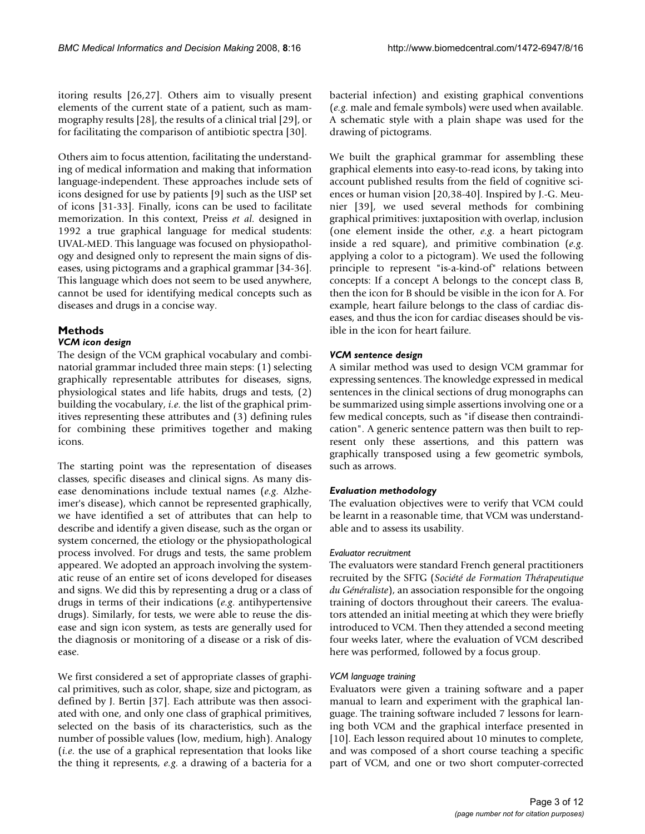itoring results [26,27]. Others aim to visually present elements of the current state of a patient, such as mammography results [28], the results of a clinical trial [29], or for facilitating the comparison of antibiotic spectra [30].

Others aim to focus attention, facilitating the understanding of medical information and making that information language-independent. These approaches include sets of icons designed for use by patients [9] such as the USP set of icons [31-33]. Finally, icons can be used to facilitate memorization. In this context, Preiss *et al*. designed in 1992 a true graphical language for medical students: UVAL-MED. This language was focused on physiopathology and designed only to represent the main signs of diseases, using pictograms and a graphical grammar [34-36]. This language which does not seem to be used anywhere, cannot be used for identifying medical concepts such as diseases and drugs in a concise way.

# **Methods**

## *VCM icon design*

The design of the VCM graphical vocabulary and combinatorial grammar included three main steps: (1) selecting graphically representable attributes for diseases, signs, physiological states and life habits, drugs and tests, (2) building the vocabulary, *i.e*. the list of the graphical primitives representing these attributes and (3) defining rules for combining these primitives together and making icons.

The starting point was the representation of diseases classes, specific diseases and clinical signs. As many disease denominations include textual names (*e.g*. Alzheimer's disease), which cannot be represented graphically, we have identified a set of attributes that can help to describe and identify a given disease, such as the organ or system concerned, the etiology or the physiopathological process involved. For drugs and tests, the same problem appeared. We adopted an approach involving the systematic reuse of an entire set of icons developed for diseases and signs. We did this by representing a drug or a class of drugs in terms of their indications (*e.g*. antihypertensive drugs). Similarly, for tests, we were able to reuse the disease and sign icon system, as tests are generally used for the diagnosis or monitoring of a disease or a risk of disease.

We first considered a set of appropriate classes of graphical primitives, such as color, shape, size and pictogram, as defined by J. Bertin [37]. Each attribute was then associated with one, and only one class of graphical primitives, selected on the basis of its characteristics, such as the number of possible values (low, medium, high). Analogy (*i.e*. the use of a graphical representation that looks like the thing it represents, *e.g*. a drawing of a bacteria for a

bacterial infection) and existing graphical conventions (*e.g*. male and female symbols) were used when available. A schematic style with a plain shape was used for the drawing of pictograms.

We built the graphical grammar for assembling these graphical elements into easy-to-read icons, by taking into account published results from the field of cognitive sciences or human vision [20,38-40]. Inspired by J.-G. Meunier [39], we used several methods for combining graphical primitives: juxtaposition with overlap, inclusion (one element inside the other, *e.g*. a heart pictogram inside a red square), and primitive combination (*e.g*. applying a color to a pictogram). We used the following principle to represent "is-a-kind-of" relations between concepts: If a concept A belongs to the concept class B, then the icon for B should be visible in the icon for A. For example, heart failure belongs to the class of cardiac diseases, and thus the icon for cardiac diseases should be visible in the icon for heart failure.

## *VCM sentence design*

A similar method was used to design VCM grammar for expressing sentences. The knowledge expressed in medical sentences in the clinical sections of drug monographs can be summarized using simple assertions involving one or a few medical concepts, such as "if disease then contraindication". A generic sentence pattern was then built to represent only these assertions, and this pattern was graphically transposed using a few geometric symbols, such as arrows.

## *Evaluation methodology*

The evaluation objectives were to verify that VCM could be learnt in a reasonable time, that VCM was understandable and to assess its usability.

## *Evaluator recruitment*

The evaluators were standard French general practitioners recruited by the SFTG (*Société de Formation Thérapeutique du Généraliste*), an association responsible for the ongoing training of doctors throughout their careers. The evaluators attended an initial meeting at which they were briefly introduced to VCM. Then they attended a second meeting four weeks later, where the evaluation of VCM described here was performed, followed by a focus group.

## *VCM language training*

Evaluators were given a training software and a paper manual to learn and experiment with the graphical language. The training software included 7 lessons for learning both VCM and the graphical interface presented in [10]. Each lesson required about 10 minutes to complete, and was composed of a short course teaching a specific part of VCM, and one or two short computer-corrected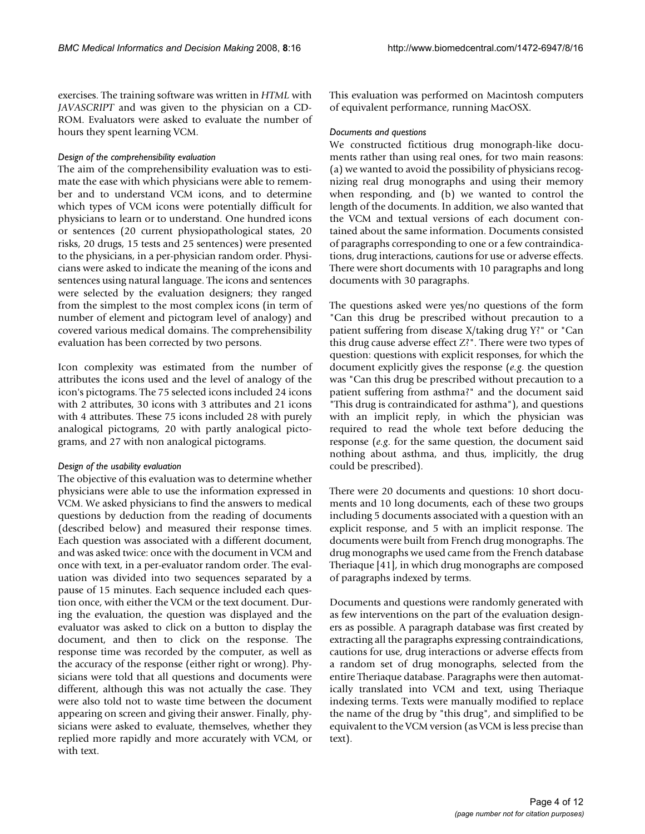exercises. The training software was written in *HTML* with *JAVASCRIPT* and was given to the physician on a CD-ROM. Evaluators were asked to evaluate the number of hours they spent learning VCM.

#### *Design of the comprehensibility evaluation*

The aim of the comprehensibility evaluation was to estimate the ease with which physicians were able to remember and to understand VCM icons, and to determine which types of VCM icons were potentially difficult for physicians to learn or to understand. One hundred icons or sentences (20 current physiopathological states, 20 risks, 20 drugs, 15 tests and 25 sentences) were presented to the physicians, in a per-physician random order. Physicians were asked to indicate the meaning of the icons and sentences using natural language. The icons and sentences were selected by the evaluation designers; they ranged from the simplest to the most complex icons (in term of number of element and pictogram level of analogy) and covered various medical domains. The comprehensibility evaluation has been corrected by two persons.

Icon complexity was estimated from the number of attributes the icons used and the level of analogy of the icon's pictograms. The 75 selected icons included 24 icons with 2 attributes, 30 icons with 3 attributes and 21 icons with 4 attributes. These 75 icons included 28 with purely analogical pictograms, 20 with partly analogical pictograms, and 27 with non analogical pictograms.

#### *Design of the usability evaluation*

The objective of this evaluation was to determine whether physicians were able to use the information expressed in VCM. We asked physicians to find the answers to medical questions by deduction from the reading of documents (described below) and measured their response times. Each question was associated with a different document, and was asked twice: once with the document in VCM and once with text, in a per-evaluator random order. The evaluation was divided into two sequences separated by a pause of 15 minutes. Each sequence included each question once, with either the VCM or the text document. During the evaluation, the question was displayed and the evaluator was asked to click on a button to display the document, and then to click on the response. The response time was recorded by the computer, as well as the accuracy of the response (either right or wrong). Physicians were told that all questions and documents were different, although this was not actually the case. They were also told not to waste time between the document appearing on screen and giving their answer. Finally, physicians were asked to evaluate, themselves, whether they replied more rapidly and more accurately with VCM, or with text.

This evaluation was performed on Macintosh computers of equivalent performance, running MacOSX.

#### *Documents and questions*

We constructed fictitious drug monograph-like documents rather than using real ones, for two main reasons: (a) we wanted to avoid the possibility of physicians recognizing real drug monographs and using their memory when responding, and (b) we wanted to control the length of the documents. In addition, we also wanted that the VCM and textual versions of each document contained about the same information. Documents consisted of paragraphs corresponding to one or a few contraindications, drug interactions, cautions for use or adverse effects. There were short documents with 10 paragraphs and long documents with 30 paragraphs.

The questions asked were yes/no questions of the form "Can this drug be prescribed without precaution to a patient suffering from disease X/taking drug Y?" or "Can this drug cause adverse effect Z?". There were two types of question: questions with explicit responses, for which the document explicitly gives the response (*e.g*. the question was "Can this drug be prescribed without precaution to a patient suffering from asthma?" and the document said "This drug is contraindicated for asthma"), and questions with an implicit reply, in which the physician was required to read the whole text before deducing the response (*e.g*. for the same question, the document said nothing about asthma, and thus, implicitly, the drug could be prescribed).

There were 20 documents and questions: 10 short documents and 10 long documents, each of these two groups including 5 documents associated with a question with an explicit response, and 5 with an implicit response. The documents were built from French drug monographs. The drug monographs we used came from the French database Theriaque [41], in which drug monographs are composed of paragraphs indexed by terms.

Documents and questions were randomly generated with as few interventions on the part of the evaluation designers as possible. A paragraph database was first created by extracting all the paragraphs expressing contraindications, cautions for use, drug interactions or adverse effects from a random set of drug monographs, selected from the entire Theriaque database. Paragraphs were then automatically translated into VCM and text, using Theriaque indexing terms. Texts were manually modified to replace the name of the drug by "this drug", and simplified to be equivalent to the VCM version (as VCM is less precise than text).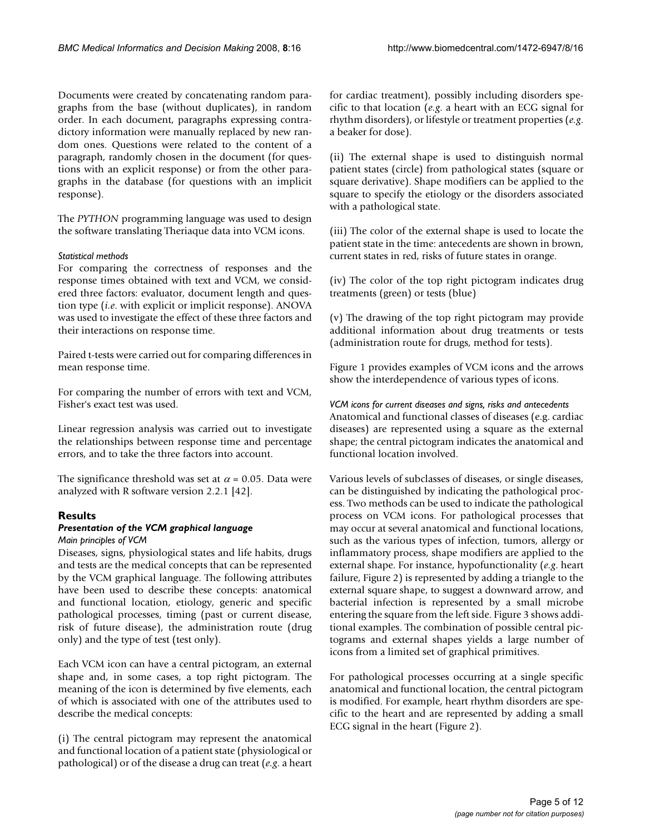Documents were created by concatenating random paragraphs from the base (without duplicates), in random order. In each document, paragraphs expressing contradictory information were manually replaced by new random ones. Questions were related to the content of a paragraph, randomly chosen in the document (for questions with an explicit response) or from the other paragraphs in the database (for questions with an implicit response).

The *PYTHON* programming language was used to design the software translating Theriaque data into VCM icons.

## *Statistical methods*

For comparing the correctness of responses and the response times obtained with text and VCM, we considered three factors: evaluator, document length and question type (*i.e*. with explicit or implicit response). ANOVA was used to investigate the effect of these three factors and their interactions on response time.

Paired t-tests were carried out for comparing differences in mean response time.

For comparing the number of errors with text and VCM, Fisher's exact test was used.

Linear regression analysis was carried out to investigate the relationships between response time and percentage errors, and to take the three factors into account.

The significance threshold was set at  $\alpha$  = 0.05. Data were analyzed with R software version 2.2.1 [42].

## **Results**

## *Presentation of the VCM graphical language*

*Main principles of VCM*

Diseases, signs, physiological states and life habits, drugs and tests are the medical concepts that can be represented by the VCM graphical language. The following attributes have been used to describe these concepts: anatomical and functional location, etiology, generic and specific pathological processes, timing (past or current disease, risk of future disease), the administration route (drug only) and the type of test (test only).

Each VCM icon can have a central pictogram, an external shape and, in some cases, a top right pictogram. The meaning of the icon is determined by five elements, each of which is associated with one of the attributes used to describe the medical concepts:

(i) The central pictogram may represent the anatomical and functional location of a patient state (physiological or pathological) or of the disease a drug can treat (*e.g*. a heart for cardiac treatment), possibly including disorders specific to that location (*e.g*. a heart with an ECG signal for rhythm disorders), or lifestyle or treatment properties (*e.g*. a beaker for dose).

(ii) The external shape is used to distinguish normal patient states (circle) from pathological states (square or square derivative). Shape modifiers can be applied to the square to specify the etiology or the disorders associated with a pathological state.

(iii) The color of the external shape is used to locate the patient state in the time: antecedents are shown in brown, current states in red, risks of future states in orange.

(iv) The color of the top right pictogram indicates drug treatments (green) or tests (blue)

(v) The drawing of the top right pictogram may provide additional information about drug treatments or tests (administration route for drugs, method for tests).

Figure 1 provides examples of VCM icons and the arrows show the interdependence of various types of icons.

*VCM icons for current diseases and signs, risks and antecedents* Anatomical and functional classes of diseases (e.g. cardiac diseases) are represented using a square as the external shape; the central pictogram indicates the anatomical and functional location involved.

Various levels of subclasses of diseases, or single diseases, can be distinguished by indicating the pathological process. Two methods can be used to indicate the pathological process on VCM icons. For pathological processes that may occur at several anatomical and functional locations, such as the various types of infection, tumors, allergy or inflammatory process, shape modifiers are applied to the external shape. For instance, hypofunctionality (*e.g*. heart failure, Figure 2) is represented by adding a triangle to the external square shape, to suggest a downward arrow, and bacterial infection is represented by a small microbe entering the square from the left side. Figure 3 shows additional examples. The combination of possible central pictograms and external shapes yields a large number of icons from a limited set of graphical primitives.

For pathological processes occurring at a single specific anatomical and functional location, the central pictogram is modified. For example, heart rhythm disorders are specific to the heart and are represented by adding a small ECG signal in the heart (Figure 2).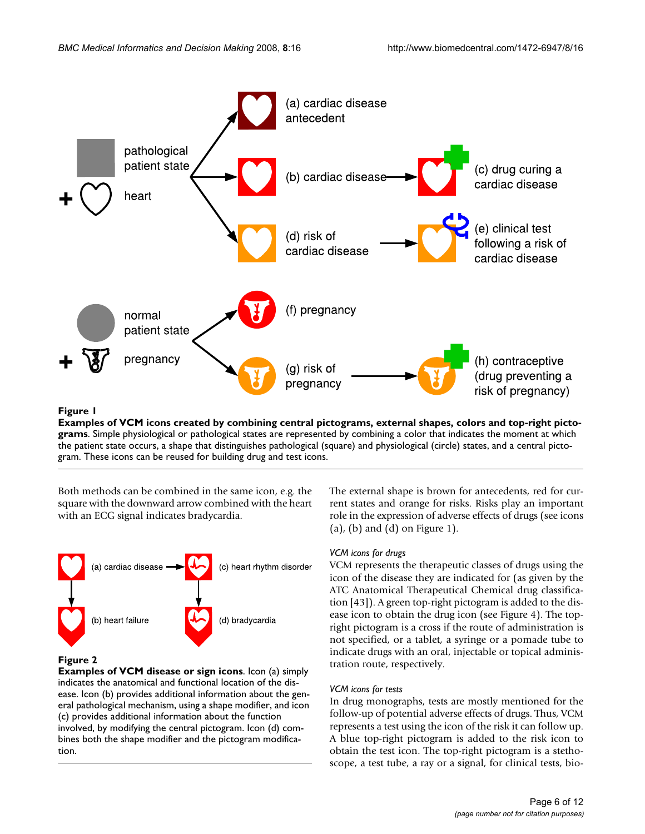

## **Figure 1** Examples of VCM icons created by combining central pictograms, external shapes, colors and top-right pictograms, external shapes, colors and top-right pictograms, colors and top-right pictograms, colors and top-

**Examples of VCM icons created by combining central pictograms, external shapes, colors and top-right pictograms**. Simple physiological or pathological states are represented by combining a color that indicates the moment at which the patient state occurs, a shape that distinguishes pathological (square) and physiological (circle) states, and a central pictogram. These icons can be reused for building drug and test icons.

Both methods can be combined in the same icon, e.g. the square with the downward arrow combined with the heart with an ECG signal indicates bradycardia.



## **Figure 2**

**Examples of VCM disease or sign icons**. Icon (a) simply indicates the anatomical and functional location of the disease. Icon (b) provides additional information about the general pathological mechanism, using a shape modifier, and icon (c) provides additional information about the function involved, by modifying the central pictogram. Icon (d) combines both the shape modifier and the pictogram modification.

The external shape is brown for antecedents, red for current states and orange for risks. Risks play an important role in the expression of adverse effects of drugs (see icons  $(a)$ ,  $(b)$  and  $(d)$  on Figure 1).

## *VCM icons for drugs*

VCM represents the therapeutic classes of drugs using the icon of the disease they are indicated for (as given by the ATC Anatomical Therapeutical Chemical drug classification [43]). A green top-right pictogram is added to the disease icon to obtain the drug icon (see Figure 4). The topright pictogram is a cross if the route of administration is not specified, or a tablet, a syringe or a pomade tube to indicate drugs with an oral, injectable or topical administration route, respectively.

## *VCM icons for tests*

In drug monographs, tests are mostly mentioned for the follow-up of potential adverse effects of drugs. Thus, VCM represents a test using the icon of the risk it can follow up. A blue top-right pictogram is added to the risk icon to obtain the test icon. The top-right pictogram is a stethoscope, a test tube, a ray or a signal, for clinical tests, bio-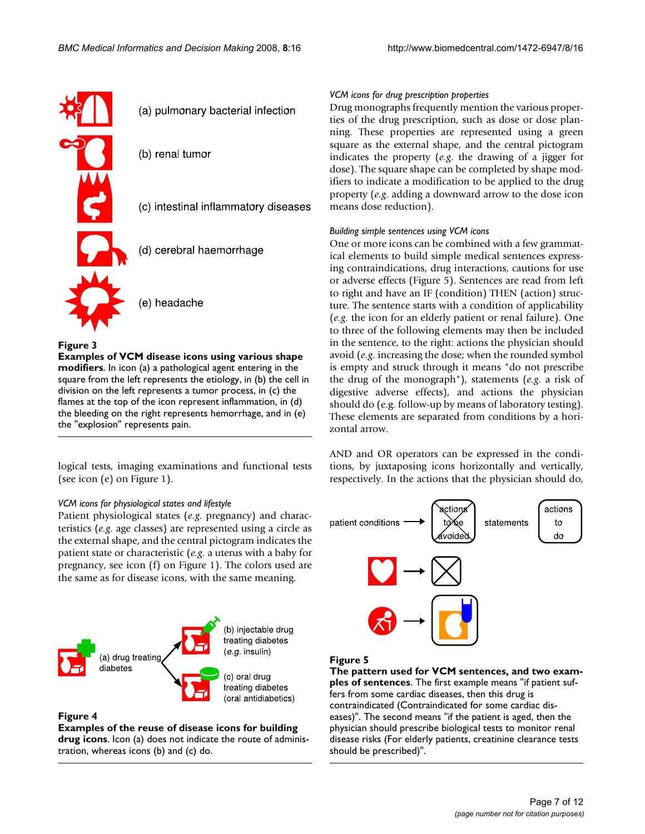

**Figure 3 Examples of VCM disease icons using various shape modifiers**. In icon (a) a pathological agent entering in the square from the left represents the etiology, in (b) the cell in division on the left represents a tumor process, in (c) the flames at the top of the icon represent inflammation, in (d) the bleeding on the right represents hemorrhage, and in (e) the "explosion" represents pain.

logical tests, imaging examinations and functional tests (see icon (e) on Figure 1).

## *VCM icons for physiological states and lifestyle*

Patient physiological states (*e.g*. pregnancy) and characteristics (*e.g*. age classes) are represented using a circle as the external shape, and the central pictogram indicates the patient state or characteristic (*e.g*. a uterus with a baby for pregnancy, see icon (f) on Figure 1). The colors used are the same as for disease icons, with the same meaning.



## **Figure 4**

**Examples of the reuse of disease icons for building drug icons**. Icon (a) does not indicate the route of administration, whereas icons (b) and (c) do.

## *VCM icons for drug prescription properties*

Drug monographs frequently mention the various properties of the drug prescription, such as dose or dose planning. These properties are represented using a green square as the external shape, and the central pictogram indicates the property (*e.g*. the drawing of a jigger for dose). The square shape can be completed by shape modifiers to indicate a modification to be applied to the drug property (*e.g*. adding a downward arrow to the dose icon means dose reduction).

## *Building simple sentences using VCM icons*

One or more icons can be combined with a few grammatical elements to build simple medical sentences expressing contraindications, drug interactions, cautions for use or adverse effects (Figure 5). Sentences are read from left to right and have an IF (condition) THEN (action) structure. The sentence starts with a condition of applicability (*e.g*. the icon for an elderly patient or renal failure). One to three of the following elements may then be included in the sentence, to the right: actions the physician should avoid (*e.g*. increasing the dose; when the rounded symbol is empty and struck through it means "do not prescribe the drug of the monograph"), statements (*e.g*. a risk of digestive adverse effects), and actions the physician should do (e.g. follow-up by means of laboratory testing). These elements are separated from conditions by a horizontal arrow.

AND and OR operators can be expressed in the conditions, by juxtaposing icons horizontally and vertically, respectively. In the actions that the physician should do,



## Figure 5

**The pattern used for VCM sentences, and two examples of sentences**. The first example means "if patient suffers from some cardiac diseases, then this drug is contraindicated (Contraindicated for some cardiac diseases)". The second means "if the patient is aged, then the physician should prescribe biological tests to monitor renal disease risks (For elderly patients, creatinine clearance tests should be prescribed)".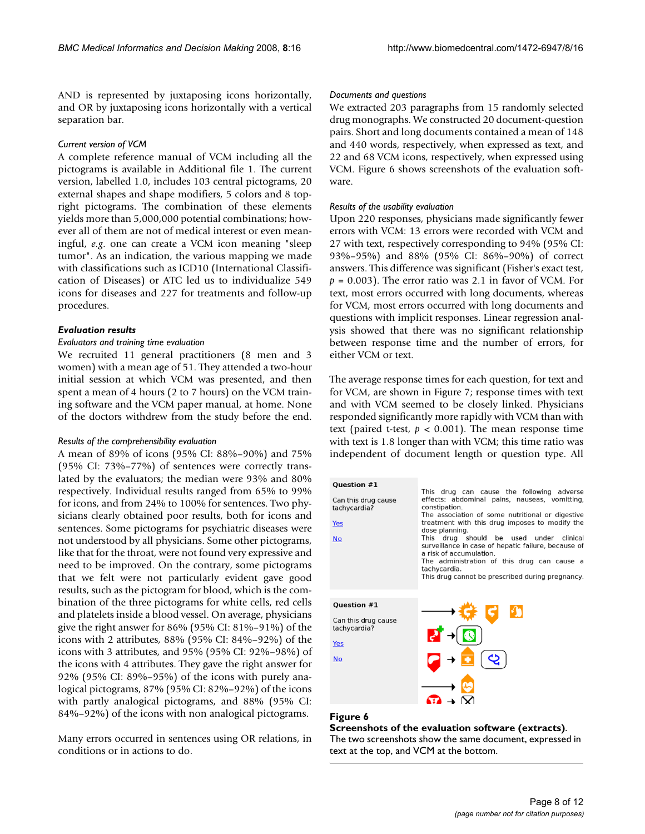AND is represented by juxtaposing icons horizontally, and OR by juxtaposing icons horizontally with a vertical separation bar.

#### *Current version of VCM*

A complete reference manual of VCM including all the pictograms is available in Additional file 1. The current version, labelled 1.0, includes 103 central pictograms, 20 external shapes and shape modifiers, 5 colors and 8 topright pictograms. The combination of these elements yields more than 5,000,000 potential combinations; however all of them are not of medical interest or even meaningful, *e.g*. one can create a VCM icon meaning "sleep tumor". As an indication, the various mapping we made with classifications such as ICD10 (International Classification of Diseases) or ATC led us to individualize 549 icons for diseases and 227 for treatments and follow-up procedures.

#### *Evaluation results*

## *Evaluators and training time evaluation*

We recruited 11 general practitioners (8 men and 3 women) with a mean age of 51. They attended a two-hour initial session at which VCM was presented, and then spent a mean of 4 hours (2 to 7 hours) on the VCM training software and the VCM paper manual, at home. None of the doctors withdrew from the study before the end.

#### *Results of the comprehensibility evaluation*

A mean of 89% of icons (95% CI: 88%–90%) and 75% (95% CI: 73%–77%) of sentences were correctly translated by the evaluators; the median were 93% and 80% respectively. Individual results ranged from 65% to 99% for icons, and from 24% to 100% for sentences. Two physicians clearly obtained poor results, both for icons and sentences. Some pictograms for psychiatric diseases were not understood by all physicians. Some other pictograms, like that for the throat, were not found very expressive and need to be improved. On the contrary, some pictograms that we felt were not particularly evident gave good results, such as the pictogram for blood, which is the combination of the three pictograms for white cells, red cells and platelets inside a blood vessel. On average, physicians give the right answer for 86% (95% CI: 81%–91%) of the icons with 2 attributes, 88% (95% CI: 84%–92%) of the icons with 3 attributes, and 95% (95% CI: 92%–98%) of the icons with 4 attributes. They gave the right answer for 92% (95% CI: 89%–95%) of the icons with purely analogical pictograms, 87% (95% CI: 82%–92%) of the icons with partly analogical pictograms, and 88% (95% CI: 84%–92%) of the icons with non analogical pictograms.

Many errors occurred in sentences using OR relations, in conditions or in actions to do.

#### *Documents and questions*

We extracted 203 paragraphs from 15 randomly selected drug monographs. We constructed 20 document-question pairs. Short and long documents contained a mean of 148 and 440 words, respectively, when expressed as text, and 22 and 68 VCM icons, respectively, when expressed using VCM. Figure 6 shows screenshots of the evaluation software.

#### *Results of the usability evaluation*

Upon 220 responses, physicians made significantly fewer errors with VCM: 13 errors were recorded with VCM and 27 with text, respectively corresponding to 94% (95% CI: 93%–95%) and 88% (95% CI: 86%–90%) of correct answers. This difference was significant (Fisher's exact test,  $p = 0.003$ ). The error ratio was 2.1 in favor of VCM. For text, most errors occurred with long documents, whereas for VCM, most errors occurred with long documents and questions with implicit responses. Linear regression analysis showed that there was no significant relationship between response time and the number of errors, for either VCM or text.

The average response times for each question, for text and for VCM, are shown in Figure 7; response times with text and with VCM seemed to be closely linked. Physicians responded significantly more rapidly with VCM than with text (paired t-test,  $p < 0.001$ ). The mean response time with text is 1.8 longer than with VCM; this time ratio was independent of document length or question type. All



#### **Figure 6**

**Screenshots of the evaluation software (extracts)**. The two screenshots show the same document, expressed in text at the top, and VCM at the bottom.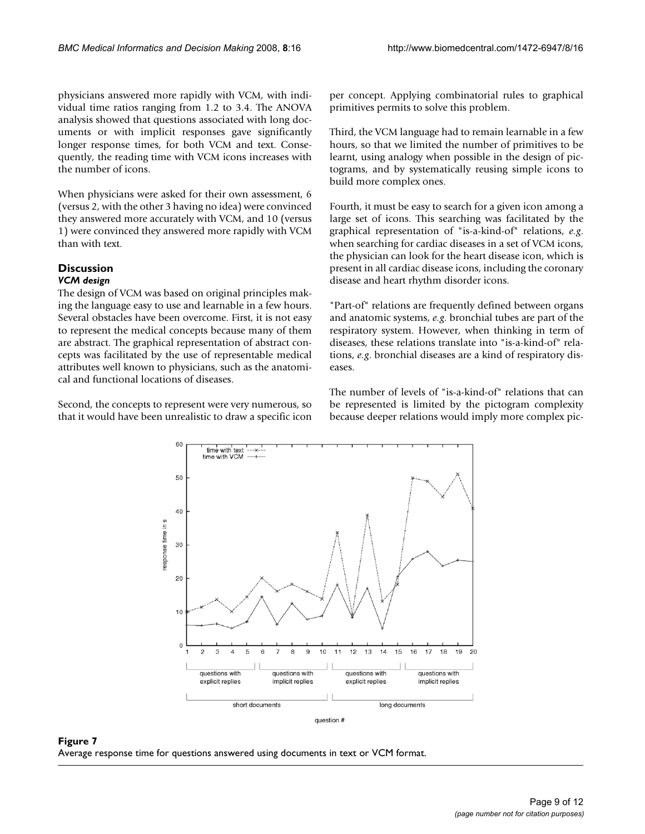physicians answered more rapidly with VCM, with individual time ratios ranging from 1.2 to 3.4. The ANOVA analysis showed that questions associated with long documents or with implicit responses gave significantly longer response times, for both VCM and text. Consequently, the reading time with VCM icons increases with the number of icons.

When physicians were asked for their own assessment, 6 (versus 2, with the other 3 having no idea) were convinced they answered more accurately with VCM, and 10 (versus 1) were convinced they answered more rapidly with VCM than with text.

## **Discussion**

#### *VCM design*

The design of VCM was based on original principles making the language easy to use and learnable in a few hours. Several obstacles have been overcome. First, it is not easy to represent the medical concepts because many of them are abstract. The graphical representation of abstract concepts was facilitated by the use of representable medical attributes well known to physicians, such as the anatomical and functional locations of diseases.

Second, the concepts to represent were very numerous, so that it would have been unrealistic to draw a specific icon per concept. Applying combinatorial rules to graphical primitives permits to solve this problem.

Third, the VCM language had to remain learnable in a few hours, so that we limited the number of primitives to be learnt, using analogy when possible in the design of pictograms, and by systematically reusing simple icons to build more complex ones.

Fourth, it must be easy to search for a given icon among a large set of icons. This searching was facilitated by the graphical representation of "is-a-kind-of" relations, *e.g*. when searching for cardiac diseases in a set of VCM icons, the physician can look for the heart disease icon, which is present in all cardiac disease icons, including the coronary disease and heart rhythm disorder icons.

"Part-of" relations are frequently defined between organs and anatomic systems, *e.g*. bronchial tubes are part of the respiratory system. However, when thinking in term of diseases, these relations translate into "is-a-kind-of" relations, *e.g*. bronchial diseases are a kind of respiratory diseases.

The number of levels of "is-a-kind-of" relations that can be represented is limited by the pictogram complexity because deeper relations would imply more complex pic-



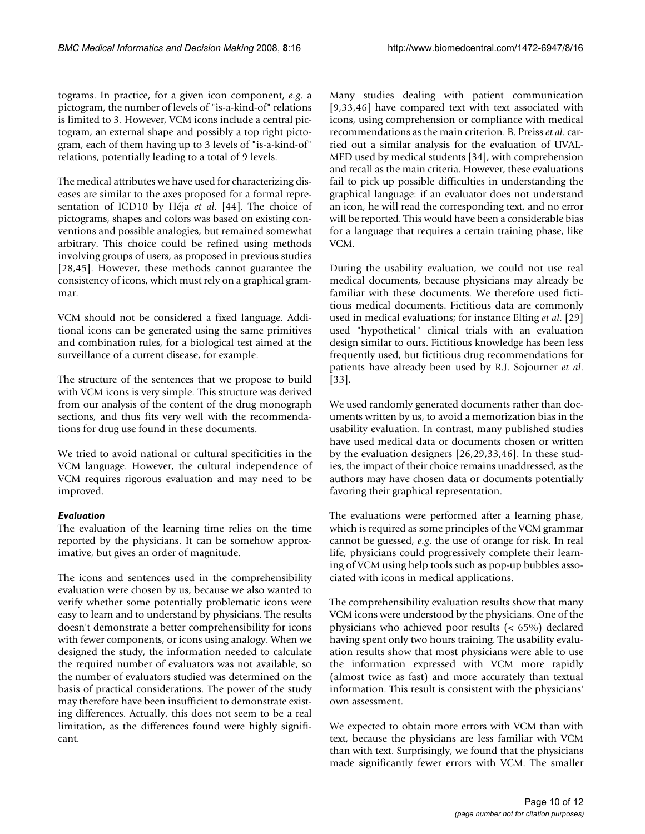tograms. In practice, for a given icon component, *e.g*. a pictogram, the number of levels of "is-a-kind-of" relations is limited to 3. However, VCM icons include a central pictogram, an external shape and possibly a top right pictogram, each of them having up to 3 levels of "is-a-kind-of" relations, potentially leading to a total of 9 levels.

The medical attributes we have used for characterizing diseases are similar to the axes proposed for a formal representation of ICD10 by Héja *et al*. [44]. The choice of pictograms, shapes and colors was based on existing conventions and possible analogies, but remained somewhat arbitrary. This choice could be refined using methods involving groups of users, as proposed in previous studies [28,45]. However, these methods cannot guarantee the consistency of icons, which must rely on a graphical grammar.

VCM should not be considered a fixed language. Additional icons can be generated using the same primitives and combination rules, for a biological test aimed at the surveillance of a current disease, for example.

The structure of the sentences that we propose to build with VCM icons is very simple. This structure was derived from our analysis of the content of the drug monograph sections, and thus fits very well with the recommendations for drug use found in these documents.

We tried to avoid national or cultural specificities in the VCM language. However, the cultural independence of VCM requires rigorous evaluation and may need to be improved.

## *Evaluation*

The evaluation of the learning time relies on the time reported by the physicians. It can be somehow approximative, but gives an order of magnitude.

The icons and sentences used in the comprehensibility evaluation were chosen by us, because we also wanted to verify whether some potentially problematic icons were easy to learn and to understand by physicians. The results doesn't demonstrate a better comprehensibility for icons with fewer components, or icons using analogy. When we designed the study, the information needed to calculate the required number of evaluators was not available, so the number of evaluators studied was determined on the basis of practical considerations. The power of the study may therefore have been insufficient to demonstrate existing differences. Actually, this does not seem to be a real limitation, as the differences found were highly significant.

Many studies dealing with patient communication [9,33,46] have compared text with text associated with icons, using comprehension or compliance with medical recommendations as the main criterion. B. Preiss *et al*. carried out a similar analysis for the evaluation of UVAL-MED used by medical students [34], with comprehension and recall as the main criteria. However, these evaluations fail to pick up possible difficulties in understanding the graphical language: if an evaluator does not understand an icon, he will read the corresponding text, and no error will be reported. This would have been a considerable bias for a language that requires a certain training phase, like VCM.

During the usability evaluation, we could not use real medical documents, because physicians may already be familiar with these documents. We therefore used fictitious medical documents. Fictitious data are commonly used in medical evaluations; for instance Elting *et al*. [29] used "hypothetical" clinical trials with an evaluation design similar to ours. Fictitious knowledge has been less frequently used, but fictitious drug recommendations for patients have already been used by R.J. Sojourner *et al*. [33].

We used randomly generated documents rather than documents written by us, to avoid a memorization bias in the usability evaluation. In contrast, many published studies have used medical data or documents chosen or written by the evaluation designers [26,29,33,46]. In these studies, the impact of their choice remains unaddressed, as the authors may have chosen data or documents potentially favoring their graphical representation.

The evaluations were performed after a learning phase, which is required as some principles of the VCM grammar cannot be guessed, *e.g*. the use of orange for risk. In real life, physicians could progressively complete their learning of VCM using help tools such as pop-up bubbles associated with icons in medical applications.

The comprehensibility evaluation results show that many VCM icons were understood by the physicians. One of the physicians who achieved poor results (< 65%) declared having spent only two hours training. The usability evaluation results show that most physicians were able to use the information expressed with VCM more rapidly (almost twice as fast) and more accurately than textual information. This result is consistent with the physicians' own assessment.

We expected to obtain more errors with VCM than with text, because the physicians are less familiar with VCM than with text. Surprisingly, we found that the physicians made significantly fewer errors with VCM. The smaller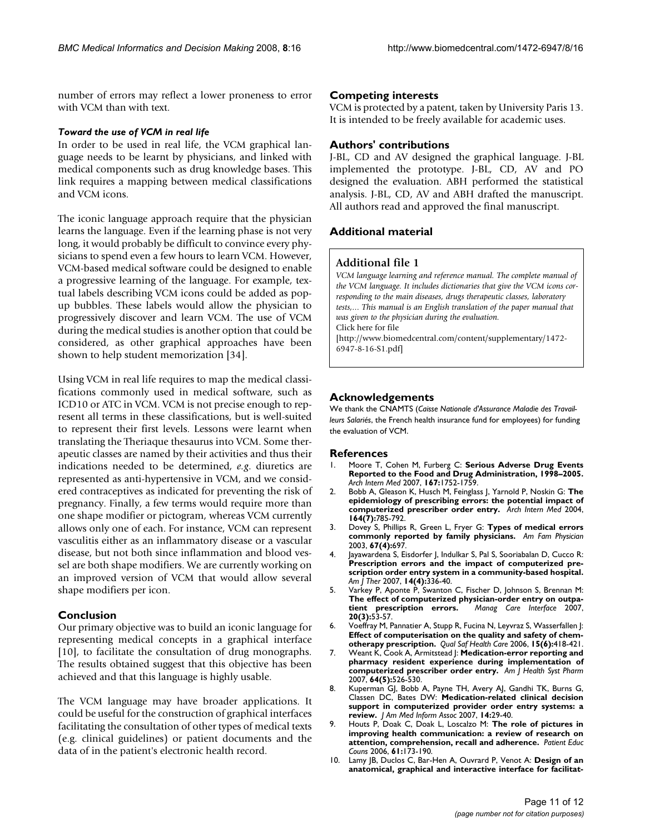number of errors may reflect a lower proneness to error with VCM than with text.

#### *Toward the use of VCM in real life*

In order to be used in real life, the VCM graphical language needs to be learnt by physicians, and linked with medical components such as drug knowledge bases. This link requires a mapping between medical classifications and VCM icons.

The iconic language approach require that the physician learns the language. Even if the learning phase is not very long, it would probably be difficult to convince every physicians to spend even a few hours to learn VCM. However, VCM-based medical software could be designed to enable a progressive learning of the language. For example, textual labels describing VCM icons could be added as popup bubbles. These labels would allow the physician to progressively discover and learn VCM. The use of VCM during the medical studies is another option that could be considered, as other graphical approaches have been shown to help student memorization [34].

Using VCM in real life requires to map the medical classifications commonly used in medical software, such as ICD10 or ATC in VCM. VCM is not precise enough to represent all terms in these classifications, but is well-suited to represent their first levels. Lessons were learnt when translating the Theriaque thesaurus into VCM. Some therapeutic classes are named by their activities and thus their indications needed to be determined, *e.g*. diuretics are represented as anti-hypertensive in VCM, and we considered contraceptives as indicated for preventing the risk of pregnancy. Finally, a few terms would require more than one shape modifier or pictogram, whereas VCM currently allows only one of each. For instance, VCM can represent vasculitis either as an inflammatory disease or a vascular disease, but not both since inflammation and blood vessel are both shape modifiers. We are currently working on an improved version of VCM that would allow several shape modifiers per icon.

## **Conclusion**

Our primary objective was to build an iconic language for representing medical concepts in a graphical interface [10], to facilitate the consultation of drug monographs. The results obtained suggest that this objective has been achieved and that this language is highly usable.

The VCM language may have broader applications. It could be useful for the construction of graphical interfaces facilitating the consultation of other types of medical texts (e.g. clinical guidelines) or patient documents and the data of in the patient's electronic health record.

## **Competing interests**

VCM is protected by a patent, taken by University Paris 13. It is intended to be freely available for academic uses.

## **Authors' contributions**

J-BL, CD and AV designed the graphical language. J-BL implemented the prototype. J-BL, CD, AV and PO designed the evaluation. ABH performed the statistical analysis. J-BL, CD, AV and ABH drafted the manuscript. All authors read and approved the final manuscript.

## **Additional material**

## **Additional file 1**

*VCM language learning and reference manual. The complete manual of the VCM language. It includes dictionaries that give the VCM icons corresponding to the main diseases, drugs therapeutic classes, laboratory tests,... This manual is an English translation of the paper manual that was given to the physician during the evaluation.* Click here for file [\[http://www.biomedcentral.com/content/supplementary/1472-](http://www.biomedcentral.com/content/supplementary/1472-6947-8-16-S1.pdf) 6947-8-16-S1.pdf]

## **Acknowledgements**

We thank the CNAMTS (*Caisse Nationale d'Assurance Maladie des Travailleurs Salariés*, the French health insurance fund for employees) for funding the evaluation of VCM.

#### **References**

- 1. Moore T, Cohen M, Furberg C: **[Serious Adverse Drug Events](http://www.ncbi.nlm.nih.gov/entrez/query.fcgi?cmd=Retrieve&db=PubMed&dopt=Abstract&list_uids=17846394) [Reported to the Food and Drug Administration, 1998–2005.](http://www.ncbi.nlm.nih.gov/entrez/query.fcgi?cmd=Retrieve&db=PubMed&dopt=Abstract&list_uids=17846394)** *Arch Intern Med* 2007, **167:**1752-1759.
- 2. Bobb A, Gleason K, Husch M, Feinglass J, Yarnold P, Noskin G: **[The](http://www.ncbi.nlm.nih.gov/entrez/query.fcgi?cmd=Retrieve&db=PubMed&dopt=Abstract&list_uids=15078649) [epidemiology of prescribing errors: the potential impact of](http://www.ncbi.nlm.nih.gov/entrez/query.fcgi?cmd=Retrieve&db=PubMed&dopt=Abstract&list_uids=15078649) [computerized prescriber order entry.](http://www.ncbi.nlm.nih.gov/entrez/query.fcgi?cmd=Retrieve&db=PubMed&dopt=Abstract&list_uids=15078649)** *Arch Intern Med* 2004, **164(7):**785-792.
- 3. Dovey S, Phillips R, Green L, Fryer G: **[Types of medical errors](http://www.ncbi.nlm.nih.gov/entrez/query.fcgi?cmd=Retrieve&db=PubMed&dopt=Abstract&list_uids=12613722) [commonly reported by family physicians.](http://www.ncbi.nlm.nih.gov/entrez/query.fcgi?cmd=Retrieve&db=PubMed&dopt=Abstract&list_uids=12613722)** *Am Fam Physician* 2003, **67(4):**697.
- 4. Jayawardena S, Eisdorfer J, Indulkar S, Pal S, Sooriabalan D, Cucco R: **Prescription errors and the impact of computerized pre[scription order entry system in a community-based hospital.](http://www.ncbi.nlm.nih.gov/entrez/query.fcgi?cmd=Retrieve&db=PubMed&dopt=Abstract&list_uids=17667207)** *Am J Ther* 2007, **14(4):**336-40.
- 5. Varkey P, Aponte P, Swanton C, Fischer D, Johnson S, Brennan M: **[The effect of computerized physician-order entry on outpa](http://www.ncbi.nlm.nih.gov/entrez/query.fcgi?cmd=Retrieve&db=PubMed&dopt=Abstract&list_uids=17458483)[tient prescription errors.](http://www.ncbi.nlm.nih.gov/entrez/query.fcgi?cmd=Retrieve&db=PubMed&dopt=Abstract&list_uids=17458483)** *Manag Care Interface* 2007, **20(3):**53-57.
- 6. Voeffray M, Pannatier A, Stupp R, Fucina N, Leyvraz S, Wasserfallen J: **[Effect of computerisation on the quality and safety of chem](http://www.ncbi.nlm.nih.gov/entrez/query.fcgi?cmd=Retrieve&db=PubMed&dopt=Abstract&list_uids=17142590)[otherapy prescription.](http://www.ncbi.nlm.nih.gov/entrez/query.fcgi?cmd=Retrieve&db=PubMed&dopt=Abstract&list_uids=17142590)** *Qual Saf Health Care* 2006, **15(6):**418-421.
- 7. Weant K, Cook A, Armitstead J: **[Medication-error reporting and](http://www.ncbi.nlm.nih.gov/entrez/query.fcgi?cmd=Retrieve&db=PubMed&dopt=Abstract&list_uids=17322166) [pharmacy resident experience during implementation of](http://www.ncbi.nlm.nih.gov/entrez/query.fcgi?cmd=Retrieve&db=PubMed&dopt=Abstract&list_uids=17322166) [computerized prescriber order entry.](http://www.ncbi.nlm.nih.gov/entrez/query.fcgi?cmd=Retrieve&db=PubMed&dopt=Abstract&list_uids=17322166)** *Am J Health Syst Pharm* 2007, **64(5):**526-530.
- 8. Kuperman GJ, Bobb A, Payne TH, Avery AJ, Gandhi TK, Burns G, Classen DC, Bates DW: **[Medication-related clinical decision](http://www.ncbi.nlm.nih.gov/entrez/query.fcgi?cmd=Retrieve&db=PubMed&dopt=Abstract&list_uids=17068355) [support in computerized provider order entry systems: a](http://www.ncbi.nlm.nih.gov/entrez/query.fcgi?cmd=Retrieve&db=PubMed&dopt=Abstract&list_uids=17068355) [review.](http://www.ncbi.nlm.nih.gov/entrez/query.fcgi?cmd=Retrieve&db=PubMed&dopt=Abstract&list_uids=17068355)** *J Am Med Inform Assoc* 2007, **14:**29-40.
- 9. Houts P, Doak C, Doak L, Loscalzo M: **[The role of pictures in](http://www.ncbi.nlm.nih.gov/entrez/query.fcgi?cmd=Retrieve&db=PubMed&dopt=Abstract&list_uids=16122896) [improving health communication: a review of research on](http://www.ncbi.nlm.nih.gov/entrez/query.fcgi?cmd=Retrieve&db=PubMed&dopt=Abstract&list_uids=16122896) [attention, comprehension, recall and adherence.](http://www.ncbi.nlm.nih.gov/entrez/query.fcgi?cmd=Retrieve&db=PubMed&dopt=Abstract&list_uids=16122896)** *Patient Educ Couns* 2006, **61:**173-190.
- 10. Lamy JB, Duclos C, Bar-Hen A, Ouvrard P, Venot A: **[Design of an](http://www.ncbi.nlm.nih.gov/entrez/query.fcgi?cmd=Retrieve&db=PubMed&dopt=Abstract&list_uids=18435838) [anatomical, graphical and interactive interface for facilitat](http://www.ncbi.nlm.nih.gov/entrez/query.fcgi?cmd=Retrieve&db=PubMed&dopt=Abstract&list_uids=18435838)-**